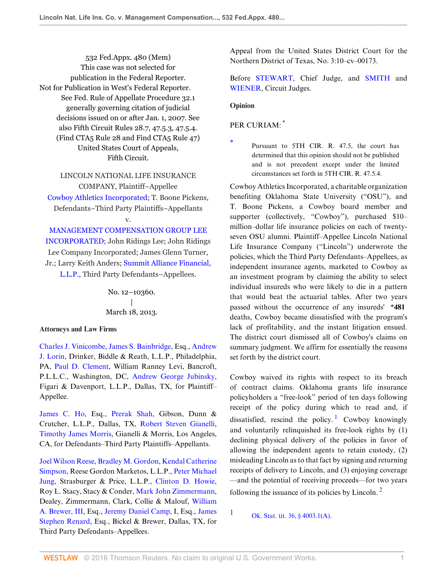532 Fed.Appx. 480 (Mem) This case was not selected for publication in the Federal Reporter. Not for Publication in West's Federal Reporter. See Fed. Rule of Appellate Procedure 32.1 generally governing citation of judicial decisions issued on or after Jan. 1, 2007. See also Fifth Circuit Rules 28.7, 47.5.3, 47.5.4. (Find CTA5 Rule 28 and Find CTA5 Rule 47) United States Court of Appeals, Fifth Circuit.

LINCOLN NATIONAL LIFE INSURANCE COMPANY, Plaintiff–Appellee [Cowboy Athletics Incorporated;](http://www.westlaw.com/Search/Results.html?query=advanced%3a+OAID(5038045768)&saveJuris=False&contentType=BUSINESS-INVESTIGATOR&startIndex=1&contextData=(sc.Default)&categoryPageUrl=Home%2fCompanyInvestigator&originationContext=document&vr=3.0&rs=cblt1.0&transitionType=DocumentItem) T. Boone Pickens, Defendants–Third Party Plaintiffs–Appellants v.

[MANAGEMENT COMPENSATION GROUP LEE](http://www.westlaw.com/Search/Results.html?query=advanced%3a+OAID(5011345161)&saveJuris=False&contentType=BUSINESS-INVESTIGATOR&startIndex=1&contextData=(sc.Default)&categoryPageUrl=Home%2fCompanyInvestigator&originationContext=document&vr=3.0&rs=cblt1.0&transitionType=DocumentItem) [INCORPORATED](http://www.westlaw.com/Search/Results.html?query=advanced%3a+OAID(5011345161)&saveJuris=False&contentType=BUSINESS-INVESTIGATOR&startIndex=1&contextData=(sc.Default)&categoryPageUrl=Home%2fCompanyInvestigator&originationContext=document&vr=3.0&rs=cblt1.0&transitionType=DocumentItem); John Ridings Lee; John Ridings Lee Company Incorporated; James Glenn Turner, Jr.; Larry Keith Anders; [Summit Alliance Financial,](http://www.westlaw.com/Search/Results.html?query=advanced%3a+WCAID(I780A5A4541EA11DDAD6B0014224D2780)&saveJuris=False&contentType=BUSINESS-INVESTIGATOR&startIndex=1&contextData=(sc.Default)&categoryPageUrl=Home%2fCompanyInvestigator&originationContext=document&vr=3.0&rs=cblt1.0&transitionType=DocumentItem) [L.L.P.](http://www.westlaw.com/Search/Results.html?query=advanced%3a+WCAID(I780A5A4541EA11DDAD6B0014224D2780)&saveJuris=False&contentType=BUSINESS-INVESTIGATOR&startIndex=1&contextData=(sc.Default)&categoryPageUrl=Home%2fCompanyInvestigator&originationContext=document&vr=3.0&rs=cblt1.0&transitionType=DocumentItem), Third Party Defendants–Appellees.

> No. 12–10360.  $\perp$ March 18, 2013.

#### **Attorneys and Law Firms**

[Charles J. Vinicombe](http://www.westlaw.com/Link/Document/FullText?findType=h&pubNum=176284&cite=0198741701&originatingDoc=I9cb66efddfc111e2a555d241dae65084&refType=RQ&originationContext=document&vr=3.0&rs=cblt1.0&transitionType=DocumentItem&contextData=(sc.Search)), [James S. Bainbridge](http://www.westlaw.com/Link/Document/FullText?findType=h&pubNum=176284&cite=0275135601&originatingDoc=I9cb66efddfc111e2a555d241dae65084&refType=RQ&originationContext=document&vr=3.0&rs=cblt1.0&transitionType=DocumentItem&contextData=(sc.Search)), Esq., [Andrew](http://www.westlaw.com/Link/Document/FullText?findType=h&pubNum=176284&cite=0176941301&originatingDoc=I9cb66efddfc111e2a555d241dae65084&refType=RQ&originationContext=document&vr=3.0&rs=cblt1.0&transitionType=DocumentItem&contextData=(sc.Search)) [J. Lorin,](http://www.westlaw.com/Link/Document/FullText?findType=h&pubNum=176284&cite=0176941301&originatingDoc=I9cb66efddfc111e2a555d241dae65084&refType=RQ&originationContext=document&vr=3.0&rs=cblt1.0&transitionType=DocumentItem&contextData=(sc.Search)) Drinker, Biddle & Reath, L.L.P., Philadelphia, PA, [Paul D. Clement,](http://www.westlaw.com/Link/Document/FullText?findType=h&pubNum=176284&cite=0222609101&originatingDoc=I9cb66efddfc111e2a555d241dae65084&refType=RQ&originationContext=document&vr=3.0&rs=cblt1.0&transitionType=DocumentItem&contextData=(sc.Search)) William Ranney Levi, Bancroft, P.L.L.C., Washington, DC, [Andrew George Jubinsky](http://www.westlaw.com/Link/Document/FullText?findType=h&pubNum=176284&cite=0103394101&originatingDoc=I9cb66efddfc111e2a555d241dae65084&refType=RQ&originationContext=document&vr=3.0&rs=cblt1.0&transitionType=DocumentItem&contextData=(sc.Search)), Figari & Davenport, L.L.P., Dallas, TX, for Plaintiff– Appellee.

[James C. Ho,](http://www.westlaw.com/Link/Document/FullText?findType=h&pubNum=176284&cite=0370343701&originatingDoc=I9cb66efddfc111e2a555d241dae65084&refType=RQ&originationContext=document&vr=3.0&rs=cblt1.0&transitionType=DocumentItem&contextData=(sc.Search)) Esq., [Prerak Shah](http://www.westlaw.com/Link/Document/FullText?findType=h&pubNum=176284&cite=0452458501&originatingDoc=I9cb66efddfc111e2a555d241dae65084&refType=RQ&originationContext=document&vr=3.0&rs=cblt1.0&transitionType=DocumentItem&contextData=(sc.Search)), Gibson, Dunn & Crutcher, L.L.P., Dallas, TX, [Robert Steven Gianelli](http://www.westlaw.com/Link/Document/FullText?findType=h&pubNum=176284&cite=0110305001&originatingDoc=I9cb66efddfc111e2a555d241dae65084&refType=RQ&originationContext=document&vr=3.0&rs=cblt1.0&transitionType=DocumentItem&contextData=(sc.Search)), [Timothy James Morris,](http://www.westlaw.com/Link/Document/FullText?findType=h&pubNum=176284&cite=0221462901&originatingDoc=I9cb66efddfc111e2a555d241dae65084&refType=RQ&originationContext=document&vr=3.0&rs=cblt1.0&transitionType=DocumentItem&contextData=(sc.Search)) Gianelli & Morris, Los Angeles, CA, for Defendants–Third Party Plaintiffs–Appellants.

[Joel Wilson Reese](http://www.westlaw.com/Link/Document/FullText?findType=h&pubNum=176284&cite=0167361101&originatingDoc=I9cb66efddfc111e2a555d241dae65084&refType=RQ&originationContext=document&vr=3.0&rs=cblt1.0&transitionType=DocumentItem&contextData=(sc.Search)), [Bradley M. Gordon](http://www.westlaw.com/Link/Document/FullText?findType=h&pubNum=176284&cite=0198039901&originatingDoc=I9cb66efddfc111e2a555d241dae65084&refType=RQ&originationContext=document&vr=3.0&rs=cblt1.0&transitionType=DocumentItem&contextData=(sc.Search)), [Kendal Catherine](http://www.westlaw.com/Link/Document/FullText?findType=h&pubNum=176284&cite=0425446801&originatingDoc=I9cb66efddfc111e2a555d241dae65084&refType=RQ&originationContext=document&vr=3.0&rs=cblt1.0&transitionType=DocumentItem&contextData=(sc.Search)) [Simpson,](http://www.westlaw.com/Link/Document/FullText?findType=h&pubNum=176284&cite=0425446801&originatingDoc=I9cb66efddfc111e2a555d241dae65084&refType=RQ&originationContext=document&vr=3.0&rs=cblt1.0&transitionType=DocumentItem&contextData=(sc.Search)) Reese Gordon Marketos, L.L.P., [Peter Michael](http://www.westlaw.com/Link/Document/FullText?findType=h&pubNum=176284&cite=0187760201&originatingDoc=I9cb66efddfc111e2a555d241dae65084&refType=RQ&originationContext=document&vr=3.0&rs=cblt1.0&transitionType=DocumentItem&contextData=(sc.Search)) [Jung](http://www.westlaw.com/Link/Document/FullText?findType=h&pubNum=176284&cite=0187760201&originatingDoc=I9cb66efddfc111e2a555d241dae65084&refType=RQ&originationContext=document&vr=3.0&rs=cblt1.0&transitionType=DocumentItem&contextData=(sc.Search)), Strasburger & Price, L.L.P., [Clinton D. Howie](http://www.westlaw.com/Link/Document/FullText?findType=h&pubNum=176284&cite=0328579201&originatingDoc=I9cb66efddfc111e2a555d241dae65084&refType=RQ&originationContext=document&vr=3.0&rs=cblt1.0&transitionType=DocumentItem&contextData=(sc.Search)), Roy L. Stacy, Stacy & Conder, [Mark John Zimmermann](http://www.westlaw.com/Link/Document/FullText?findType=h&pubNum=176284&cite=0164814001&originatingDoc=I9cb66efddfc111e2a555d241dae65084&refType=RQ&originationContext=document&vr=3.0&rs=cblt1.0&transitionType=DocumentItem&contextData=(sc.Search)), Dealey, Zimmermann, Clark, Collie & Malouf, [William](http://www.westlaw.com/Link/Document/FullText?findType=h&pubNum=176284&cite=0118787101&originatingDoc=I9cb66efddfc111e2a555d241dae65084&refType=RQ&originationContext=document&vr=3.0&rs=cblt1.0&transitionType=DocumentItem&contextData=(sc.Search)) [A. Brewer, III](http://www.westlaw.com/Link/Document/FullText?findType=h&pubNum=176284&cite=0118787101&originatingDoc=I9cb66efddfc111e2a555d241dae65084&refType=RQ&originationContext=document&vr=3.0&rs=cblt1.0&transitionType=DocumentItem&contextData=(sc.Search)), Esq., [Jeremy Daniel Camp,](http://www.westlaw.com/Link/Document/FullText?findType=h&pubNum=176284&cite=0432913101&originatingDoc=I9cb66efddfc111e2a555d241dae65084&refType=RQ&originationContext=document&vr=3.0&rs=cblt1.0&transitionType=DocumentItem&contextData=(sc.Search)) I, Esq., [James](http://www.westlaw.com/Link/Document/FullText?findType=h&pubNum=176284&cite=0117467601&originatingDoc=I9cb66efddfc111e2a555d241dae65084&refType=RQ&originationContext=document&vr=3.0&rs=cblt1.0&transitionType=DocumentItem&contextData=(sc.Search)) [Stephen Renard](http://www.westlaw.com/Link/Document/FullText?findType=h&pubNum=176284&cite=0117467601&originatingDoc=I9cb66efddfc111e2a555d241dae65084&refType=RQ&originationContext=document&vr=3.0&rs=cblt1.0&transitionType=DocumentItem&contextData=(sc.Search)), Esq., Bickel & Brewer, Dallas, TX, for Third Party Defendants–Appellees.

Appeal from the United States District Court for the Northern District of Texas, No. 3:10–cv–00173.

Before [STEWART](http://www.westlaw.com/Link/Document/FullText?findType=h&pubNum=176284&cite=0182265801&originatingDoc=I9cb66efddfc111e2a555d241dae65084&refType=RQ&originationContext=document&vr=3.0&rs=cblt1.0&transitionType=DocumentItem&contextData=(sc.Search)), Chief Judge, and [SMITH](http://www.westlaw.com/Link/Document/FullText?findType=h&pubNum=176284&cite=0148349701&originatingDoc=I9cb66efddfc111e2a555d241dae65084&refType=RQ&originationContext=document&vr=3.0&rs=cblt1.0&transitionType=DocumentItem&contextData=(sc.Search)) and [WIENER](http://www.westlaw.com/Link/Document/FullText?findType=h&pubNum=176284&cite=0226128401&originatingDoc=I9cb66efddfc111e2a555d241dae65084&refType=RQ&originationContext=document&vr=3.0&rs=cblt1.0&transitionType=DocumentItem&contextData=(sc.Search)), Circuit Judges.

### **Opinion**

## PER CURIAM:

<span id="page-0-1"></span><span id="page-0-0"></span>Pursuant to 5TH CIR. R. 47.5, the court has determined that this opinion should not be published and is not precedent except under the limited circumstances set forth in 5TH CIR. R. 47.5.4.

Cowboy Athletics Incorporated, a charitable organization benefiting Oklahoma State University ("OSU"), and T. Boone Pickens, a Cowboy board member and supporter (collectively, "Cowboy"), purchased \$10– million–dollar life insurance policies on each of twentyseven OSU alumni. Plaintiff–Appellee Lincoln National Life Insurance Company ("Lincoln") underwrote the policies, which the Third Party Defendants–Appellees, as independent insurance agents, marketed to Cowboy as an investment program by claiming the ability to select individual insureds who were likely to die in a pattern that would beat the actuarial tables. After two years passed without the occurrence of any insureds' **\*481** deaths, Cowboy became dissatisfied with the program's lack of profitability, and the instant litigation ensued. The district court dismissed all of Cowboy's claims on summary judgment. We affirm for essentially the reasons set forth by the district court.

<span id="page-0-3"></span>Cowboy waived its rights with respect to its breach of contract claims. Oklahoma grants life insurance policyholders a "free-look" period of ten days following receipt of the policy during which to read and, if dissatisfied, rescind the policy.<sup>[1](#page-0-2)</sup> Cowboy knowingly and voluntarily relinquished its free-look rights by (1) declining physical delivery of the policies in favor of allowing the independent agents to retain custody, (2) misleading Lincoln as to that fact by signing and returning receipts of delivery to Lincoln, and (3) enjoying coverage —and the potential of receiving proceeds—for two years following the issuance of its policies by Lincoln. $<sup>2</sup>$  $<sup>2</sup>$  $<sup>2</sup>$ </sup>

<span id="page-0-4"></span><span id="page-0-2"></span>[1](#page-0-3) [Ok. Stat. tit. 36, § 4003.1\(A\)](http://www.westlaw.com/Link/Document/FullText?findType=L&pubNum=1000165&cite=OKSTT36S4003.1&originatingDoc=I9cb66efddfc111e2a555d241dae65084&refType=LQ&originationContext=document&vr=3.0&rs=cblt1.0&transitionType=DocumentItem&contextData=(sc.Search)).